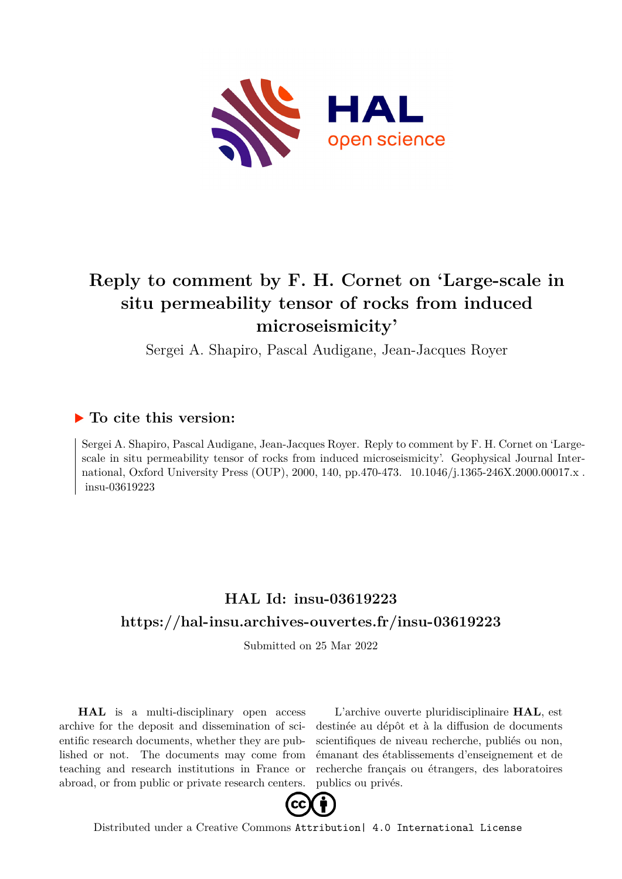

# **Reply to comment by F. H. Cornet on 'Large-scale in situ permeability tensor of rocks from induced microseismicity'**

Sergei A. Shapiro, Pascal Audigane, Jean-Jacques Royer

### **To cite this version:**

Sergei A. Shapiro, Pascal Audigane, Jean-Jacques Royer. Reply to comment by F. H. Cornet on 'Largescale in situ permeability tensor of rocks from induced microseismicity'. Geophysical Journal International, Oxford University Press (OUP), 2000, 140, pp.470-473. 10.1046/j.1365-246X.2000.00017.x. insu-03619223

## **HAL Id: insu-03619223 <https://hal-insu.archives-ouvertes.fr/insu-03619223>**

Submitted on 25 Mar 2022

**HAL** is a multi-disciplinary open access archive for the deposit and dissemination of scientific research documents, whether they are published or not. The documents may come from teaching and research institutions in France or abroad, or from public or private research centers.

L'archive ouverte pluridisciplinaire **HAL**, est destinée au dépôt et à la diffusion de documents scientifiques de niveau recherche, publiés ou non, émanant des établissements d'enseignement et de recherche français ou étrangers, des laboratoires publics ou privés.



Distributed under a Creative Commons [Attribution| 4.0 International License](http://creativecommons.org/licenses/by/4.0/)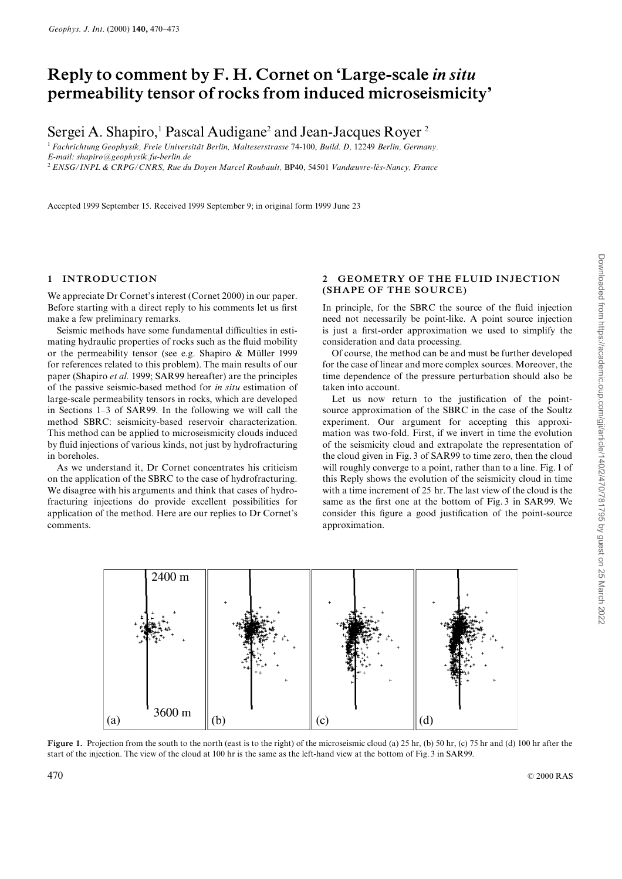## Reply to comment by F. H. Cornet on `Large-scale in situ permeability tensor of rocks from induced microseismicity'

Sergei A. Shapiro,<sup>1</sup> Pascal Audigane<sup>2</sup> and Jean-Jacques Royer<sup>2</sup>

<sup>1</sup> Fachrichtung Geophysik, Freie Universität Berlin, Malteserstrasse 74-100, Build. D, 12249 Berlin, Germany. E-mail: shapiro@geophysik.fu-berlin.de <sup>2</sup> ENSG/INPL & CRPG/CNRS, Rue du Doyen Marcel Roubault, BP40, 54501 Vandœuvre-lès-Nancy, France

Accepted 1999 September 15. Received 1999 September 9; in original form 1999 June 23

#### 1 INTRODUCTION

We appreciate Dr Cornet's interest (Cornet 2000) in our paper. Before starting with a direct reply to his comments let us first make a few preliminary remarks.

Seismic methods have some fundamental difficulties in estimating hydraulic properties of rocks such as the fluid mobility or the permeability tensor (see e.g. Shapiro  $\&$  Müller 1999 for references related to this problem). The main results of our paper (Shapiro et al. 1999; SAR99 hereafter) are the principles of the passive seismic-based method for in situ estimation of large-scale permeability tensors in rocks, which are developed in Sections  $1-3$  of SAR99. In the following we will call the method SBRC: seismicity-based reservoir characterization. This method can be applied to microseismicity clouds induced by £uid injections of various kinds, not just by hydrofracturing in boreholes.

As we understand it, Dr Cornet concentrates his criticism on the application of the SBRC to the case of hydrofracturing. We disagree with his arguments and think that cases of hydrofracturing injections do provide excellent possibilities for application of the method. Here are our replies to Dr Cornet's comments.

#### 2 GEOMETRY OF THE FLUID INJECTION (SHAPE OF THE SOURCE)

In principle, for the SBRC the source of the fluid injection need not necessarily be point-like. A point source injection is just a first-order approximation we used to simplify the consideration and data processing.

Of course, the method can be and must be further developed for the case of linear and more complex sources. Moreover, the time dependence of the pressure perturbation should also be taken into account.

Let us now return to the justification of the pointsource approximation of the SBRC in the case of the Soultz experiment. Our argument for accepting this approximation was two-fold. First, if we invert in time the evolution of the seismicity cloud and extrapolate the representation of the cloud given in Fig. 3 of SAR99 to time zero, then the cloud will roughly converge to a point, rather than to a line. Fig. 1 of this Reply shows the evolution of the seismicity cloud in time with a time increment of 25 hr. The last view of the cloud is the same as the first one at the bottom of Fig. 3 in SAR99. We consider this figure a good justification of the point-source approximation.



Figure 1. Projection from the south to the north (east is to the right) of the microseismic cloud (a) 25 hr, (b) 50 hr, (c) 75 hr and (d) 100 hr after the start of the injection. The view of the cloud at 100 hr is the same as the left-hand view at the bottom of Fig. 3 in SAR99.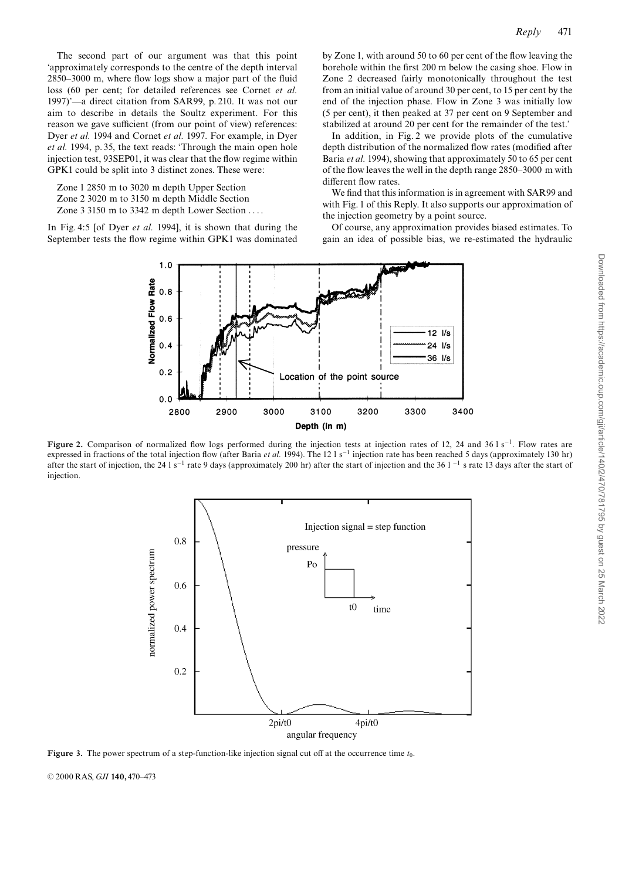The second part of our argument was that this point `approximately corresponds to the centre of the depth interval  $2850-3000$  m, where flow logs show a major part of the fluid loss (60 per cent; for detailed references see Cornet et al. 1997)'—a direct citation from SAR99, p. 210. It was not our aim to describe in details the Soultz experiment. For this reason we gave sufficient (from our point of view) references: Dyer et al. 1994 and Cornet et al. 1997. For example, in Dyer et al. 1994, p. 35, the text reads: 'Through the main open hole injection test, 93SEP01, it was clear that the flow regime within GPK1 could be split into 3 distinct zones. These were:

Zone 1 2850 m to 3020 m depth Upper Section Zone 2 3020 m to 3150 m depth Middle Section

Zone 3 3150 m to 3342 m depth Lower Section ... .

In Fig. 4:5 [of Dyer *et al.* 1994], it is shown that during the September tests the flow regime within GPK1 was dominated

by Zone 1, with around 50 to 60 per cent of the flow leaving the borehole within the first 200 m below the casing shoe. Flow in Zone 2 decreased fairly monotonically throughout the test from an initial value of around 30 per cent, to 15 per cent by the end of the injection phase. Flow in Zone 3 was initially low (5 per cent), it then peaked at 37 per cent on 9 September and stabilized at around 20 per cent for the remainder of the test.'

In addition, in Fig. 2 we provide plots of the cumulative depth distribution of the normalized flow rates (modified after Baria et al. 1994), showing that approximately 50 to 65 per cent of the flow leaves the well in the depth range  $2850-3000$  m with different flow rates.

We find that this information is in agreement with SAR99 and with Fig. 1 of this Reply. It also supports our approximation of the injection geometry by a point source.

Of course, any approximation provides biased estimates. To gain an idea of possible bias, we re-estimated the hydraulic



Figure 2. Comparison of normalized flow logs performed during the injection tests at injection rates of 12, 24 and 36 l s<sup>-1</sup>. Flow rates are expressed in fractions of the total injection flow (after Baria *et al.* 1994). The 12 l s<sup>-1</sup> injection rate has been reached 5 days (approximately 130 hr) after the start of injection, the 24 l s<sup>-1</sup> rate 9 days (approximately 200 hr) after the start of injection and the 36 l<sup>-1</sup> s rate 13 days after the start of injection.



Figure 3. The power spectrum of a step-function-like injection signal cut off at the occurrence time  $t_0$ .

© 2000 RAS, GJI 140, 470-473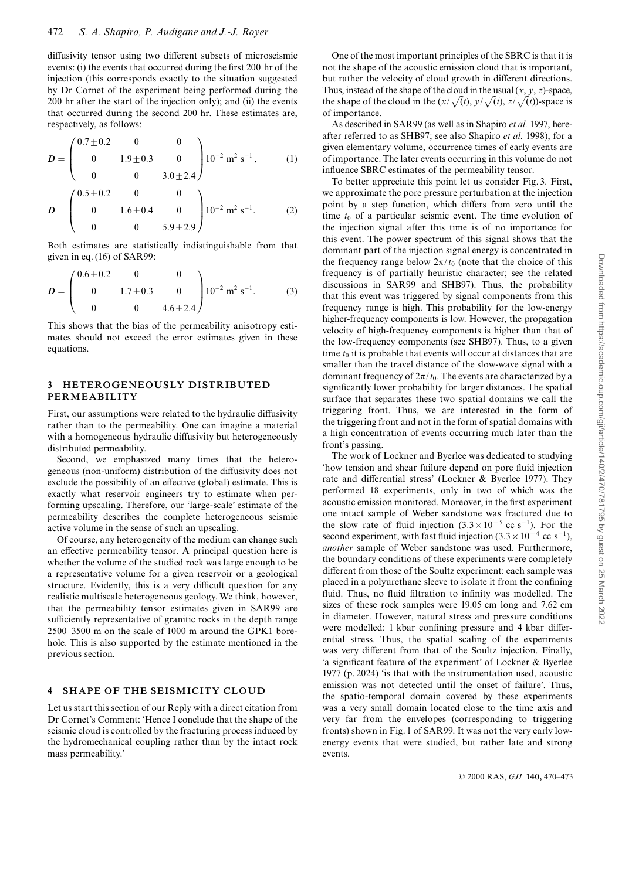diffusivity tensor using two different subsets of microseismic events: (i) the events that occurred during the first 200 hr of the injection (this corresponds exactly to the situation suggested by Dr Cornet of the experiment being performed during the 200 hr after the start of the injection only); and (ii) the events that occurred during the second 200 hr. These estimates are, respectively, as follows:

$$
D = \begin{pmatrix} 0.7 \pm 0.2 & 0 & 0 \\ 0 & 1.9 \pm 0.3 & 0 \\ 0 & 0 & 3.0 \pm 2.4 \end{pmatrix} 10^{-2} \text{ m}^2 \text{ s}^{-1}, \qquad (1)
$$

$$
D = \begin{pmatrix} 0.5 \pm 0.2 & 0 & 0 \\ 0 & 1.6 \pm 0.4 & 0 \\ 0 & 0 & 5.9 \pm 2.9 \end{pmatrix} 10^{-2} \text{ m}^2 \text{ s}^{-1}. \qquad (2)
$$

Both estimates are statistically indistinguishable from that given in eq. (16) of SAR99:

$$
D = \begin{pmatrix} 0.6 \pm 0.2 & 0 & 0 \\ 0 & 1.7 \pm 0.3 & 0 \\ 0 & 0 & 4.6 \pm 2.4 \end{pmatrix} 10^{-2} \text{ m}^2 \text{ s}^{-1}. \tag{3}
$$

This shows that the bias of the permeability anisotropy estimates should not exceed the error estimates given in these equations.

#### 3 HETEROGENEOUSLY DISTRIBUTED PERMEABILITY

First, our assumptions were related to the hydraulic diffusivity rather than to the permeability. One can imagine a material with a homogeneous hydraulic diffusivity but heterogeneously distributed permeability.

Second, we emphasized many times that the heterogeneous (non-uniform) distribution of the diffusivity does not exclude the possibility of an effective (global) estimate. This is exactly what reservoir engineers try to estimate when performing upscaling. Therefore, our `large-scale' estimate of the permeability describes the complete heterogeneous seismic active volume in the sense of such an upscaling.

Of course, any heterogeneity of the medium can change such an effective permeability tensor. A principal question here is whether the volume of the studied rock was large enough to be a representative volume for a given reservoir or a geological structure. Evidently, this is a very difficult question for any realistic multiscale heterogeneous geology. We think, however, that the permeability tensor estimates given in SAR99 are sufficiently representative of granitic rocks in the depth range  $2500-3500$  m on the scale of 1000 m around the GPK1 borehole. This is also supported by the estimate mentioned in the previous section.

#### 4 SHAPE OF THE SEISMICITY CLOUD

Let us start this section of our Reply with a direct citation from Dr Cornet's Comment: `Hence I conclude that the shape of the seismic cloud is controlled by the fracturing process induced by the hydromechanical coupling rather than by the intact rock mass permeability.'

One of the most important principles of the SBRC is that it is not the shape of the acoustic emission cloud that is important, but rather the velocity of cloud growth in different directions. Thus, instead of the shape of the cloud in the usual  $(x, y, z)$ -space, the shape of the cloud in the  $\left(x/\sqrt(t), y/\sqrt(t), z/\sqrt(t)\right)$ -space is of importance.

As described in SAR99 (as well as in Shapiro et al. 1997, hereafter referred to as SHB97; see also Shapiro et al. 1998), for a given elementary volume, occurrence times of early events are of importance. The later events occurring in this volume do not influence SBRC estimates of the permeability tensor.

To better appreciate this point let us consider Fig. 3. First, we approximate the pore pressure perturbation at the injection point by a step function, which differs from zero until the time  $t_0$  of a particular seismic event. The time evolution of the injection signal after this time is of no importance for this event. The power spectrum of this signal shows that the dominant part of the injection signal energy is concentrated in the frequency range below  $2\pi/t_0$  (note that the choice of this frequency is of partially heuristic character; see the related discussions in SAR99 and SHB97). Thus, the probability that this event was triggered by signal components from this frequency range is high. This probability for the low-energy higher-frequency components is low. However, the propagation velocity of high-frequency components is higher than that of the low-frequency components (see SHB97). Thus, to a given time  $t_0$  it is probable that events will occur at distances that are smaller than the travel distance of the slow-wave signal with a dominant frequency of  $2\pi/t_0$ . The events are characterized by a significantly lower probability for larger distances. The spatial surface that separates these two spatial domains we call the triggering front. Thus, we are interested in the form of the triggering front and not in the form of spatial domains with a high concentration of events occurring much later than the front's passing.

The work of Lockner and Byerlee was dedicated to studying 'how tension and shear failure depend on pore fluid injection rate and differential stress' (Lockner & Byerlee 1977). They performed 18 experiments, only in two of which was the acoustic emission monitored. Moreover, in the first experiment one intact sample of Weber sandstone was fractured due to the slow rate of fluid injection  $(3.3\times10^{-5} \text{ cc s}^{-1})$ . For the second experiment, with fast fluid injection  $(3.3\times10^{-4} \text{ cc s}^{-1})$ , another sample of Weber sandstone was used. Furthermore, the boundary conditions of these experiments were completely different from those of the Soultz experiment: each sample was placed in a polyurethane sleeve to isolate it from the confining fluid. Thus, no fluid filtration to infinity was modelled. The sizes of these rock samples were 19.05 cm long and 7.62 cm in diameter. However, natural stress and pressure conditions were modelled: 1 kbar confining pressure and 4 kbar differential stress. Thus, the spatial scaling of the experiments was very different from that of the Soultz injection. Finally, 'a significant feature of the experiment' of Lockner  $\&$  Byerlee 1977 (p. 2024) `is that with the instrumentation used, acoustic emission was not detected until the onset of failure'. Thus, the spatio-temporal domain covered by these experiments was a very small domain located close to the time axis and very far from the envelopes (corresponding to triggering fronts) shown in Fig. 1 of SAR99. It was not the very early lowenergy events that were studied, but rather late and strong events.